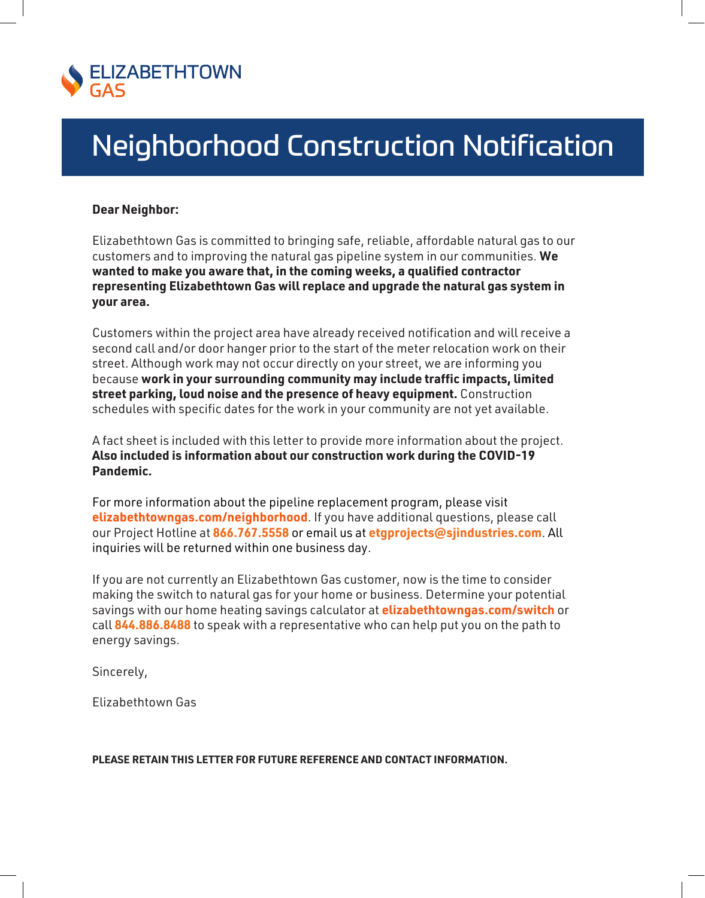

# Neighborhood Construction Notification

## **Dear Neighbor:**

Elizabethtown Gas is committed to bringing safe, reliable, affordable natural gas to our customers and to improving the natural gas pipeline system in our communities. **We wanted to make you aware that, in the coming weeks, a qualified contractor representing Elizabethtown Gas will replace and upgrade the natural gas system in your area.**

Customers within the project area have already received notification and will receive a second call and/or door hanger prior to the start of the meter relocation work on their street. Although work may not occur directly on your street, we are informing you because **work in your surrounding community may include traffic impacts, limited street parking, loud noise and the presence of heavy equipment.** Construction schedules with specific dates for the work in your community are not yet available.

A fact sheet is included with this letter to provide more information about the project. **Also included is information about our construction work during the COVID-19 Pandemic.**

For more information about the pipeline replacement program, please visit **elizabethtowngas.com/neighborhood**. If you have additional questions, please call our Project Hotline at **866.767.5558** or email us at **etgprojects@sjindustries.com**. All inquiries will be returned within one business day.

If you are not currently an Elizabethtown Gas customer, now is the time to consider making the switch to natural gas for your home or business. Determine your potential savings with our home heating savings calculator at **elizabethtowngas.com/switch** or call **844.886.8488** to speak with a representative who can help put you on the path to energy savings.

Sincerely,

Elizabethtown Gas

#### **PLEASE RETAIN THIS LETTER FOR FUTURE REFERENCE AND CONTACT INFORMATION.**